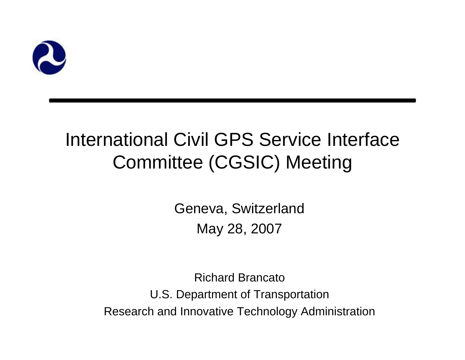

#### International Civil GPS Service Interface Committee (CGSIC) Meeting

Geneva, Switzerland May 28, 2007

Richard BrancatoU.S. Department of Transportation Research and Innovative Technology Administration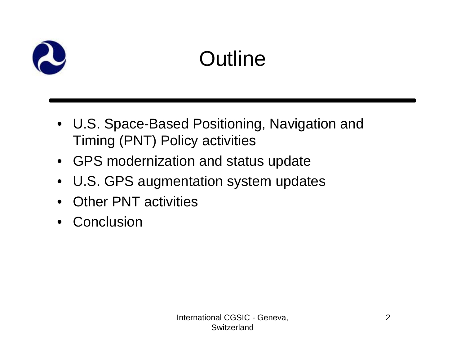

## **Outline**

- U.S. Space-Based Positioning, Navigation and Timing (PNT) Policy activities
- GPS modernization and status update
- U.S. GPS augmentation system updates
- Other PNT activities
- Conclusion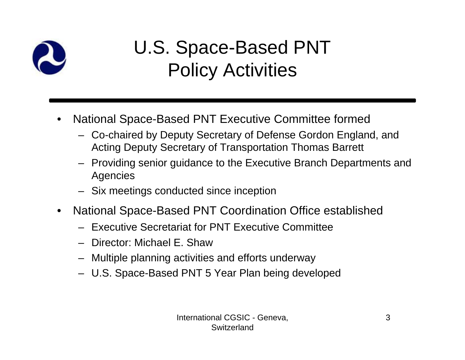

#### U.S. Space-Based PNT Policy Activities

- • National Space-Based PNT Executive Committee formed
	- Co-chaired by Deputy Secretary of Defense Gordon England, and Acting Deputy Secretary of Transportation Thomas Barrett
	- Providing senior guidance to the Executive Branch Departments and Agencies
	- Six meetings conducted since inception
- $\bullet$  National Space-Based PNT Coordination Office established
	- Executive Secretariat for PNT Executive Committee
	- Director: Michael E. Shaw
	- Multiple planning activities and efforts underway
	- U.S. Space-Based PNT 5 Year Plan being developed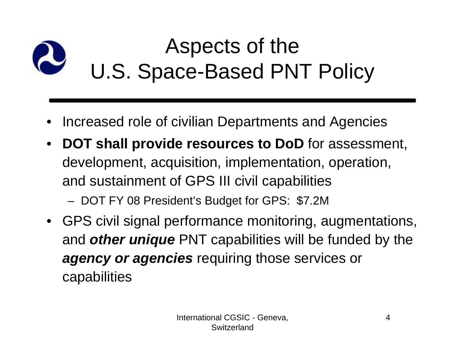#### Aspects of the U.S. Space-Based PNT Policy

- •Increased role of civilian Departments and Agencies
- • **DOT shall provide resources to DoD** for assessment, development, acquisition, implementation, operation, and sustainment of GPS III civil capabilities DOT FY 08 President's Budget for GPS: \$7.2M
- GPS civil signal performance monitoring, augmentations, and *other unique* PNT capabilities will be funded by the *agency or agencies* requiring those services or capabilities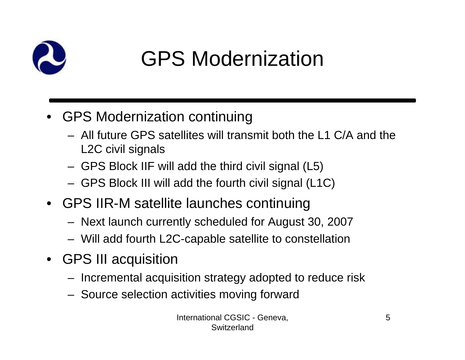

### GPS Modernization

- GPS Modernization continuing
	- All future GPS satellites will transmit both the L1 C/A and the L2C civil signals
	- GPS Block IIF will add the third civil signal (L5)
	- GPS Block III will add the fourth civil signal (L1C)
- GPS IIR-M satellite launches continuing
	- Next launch currently scheduled for August 30, 2007
	- Will add fourth L2C-capable satellite to constellation
- GPS III acquisition
	- Incremental acquisition strategy adopted to reduce risk
	- Source selection activities moving forward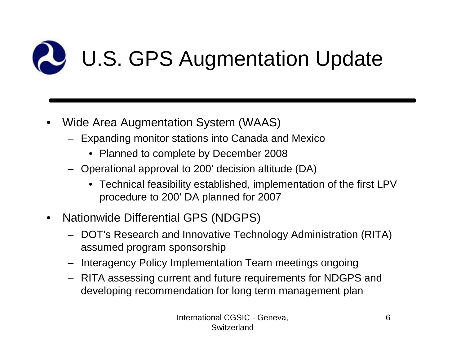

- • Wide Area Augmentation System (WAAS)
	- Expanding monitor stations into Canada and Mexico
		- Planned to complete by December 2008
	- Operational approval to 200' decision altitude (DA)
		- Technical feasibility established, implementation of the first LPV procedure to 200' DA planned for 2007
- • Nationwide Differential GPS (NDGPS)
	- DOT's Research and Innovative Technology Administration (RITA) assumed program sponsorship
	- Interagency Policy Implementation Team meetings ongoing
	- RITA assessing current and future requirements for NDGPS and developing recommendation for long term management plan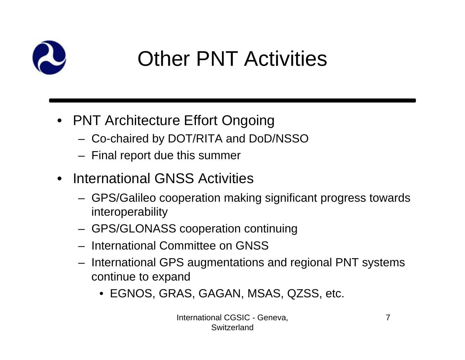

# Other PNT Activities

- PNT Architecture Effort Ongoing
	- Co-chaired by DOT/RITA and DoD/NSSO
	- Final report due this summer
- International GNSS Activities
	- GPS/Galileo cooperation making significant progress towards interoperability
	- GPS/GLONASS cooperation continuing
	- International Committee on GNSS
	- International GPS augmentations and regional PNT systems continue to expand
		- EGNOS, GRAS, GAGAN, MSAS, QZSS, etc.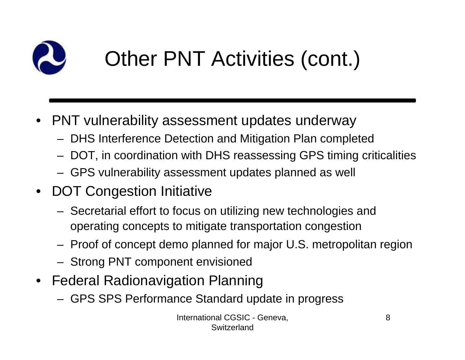

# Other PNT Activities (cont.)

- PNT vulnerability assessment updates underway
	- DHS Interference Detection and Mitigation Plan completed
	- DOT, in coordination with DHS reassessing GPS timing criticalities
	- GPS vulnerability assessment updates planned as well
- DOT Congestion Initiative
	- Secretarial effort to focus on utilizing new technologies and operating concepts to mitigate transportation congestion
	- Proof of concept demo planned for major U.S. metropolitan region
	- Strong PNT component envisioned
- Federal Radionavigation Planning
	- GPS SPS Performance Standard update in progress